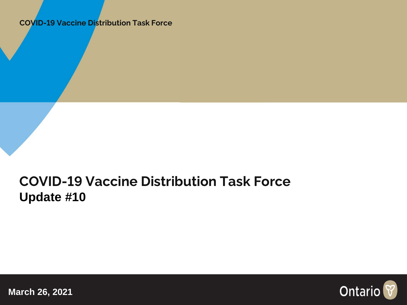**COVID-19 Vaccine Distribution Task Force**

### **COVID-19 Vaccine Distribution Task Force Update #10**

Ontario

**March 26, 2021**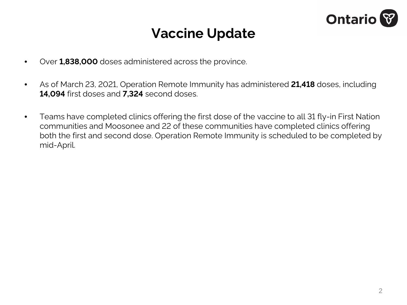

### **Vaccine Update**

- Over **1,838,000** doses administered across the province.
- As of March 23, 2021, Operation Remote Immunity has administered **21,418** doses, including **14,094** first doses and **7,324** second doses.
- Teams have completed clinics offering the first dose of the vaccine to all 31 fly-in First Nation communities and Moosonee and 22 of these communities have completed clinics offering both the first and second dose. Operation Remote Immunity is scheduled to be completed by mid-April.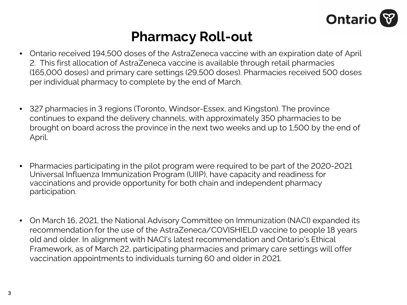

### **Pharmacy Roll-out**

- Ontario received 194,500 doses of the AstraZeneca vaccine with an expiration date of April 2. This first allocation of AstraZeneca vaccine is available through retail pharmacies (165,000 doses) and primary care settings (29,500 doses). Pharmacies received 500 doses per individual pharmacy to complete by the end of March.
- 327 pharmacies in 3 regions (Toronto, Windsor-Essex, and Kingston). The province continues to expand the delivery channels, with approximately 350 pharmacies to be brought on board across the province in the next two weeks and up to 1,500 by the end of April.
- Pharmacies participating in the pilot program were required to be part of the 2020-2021 Universal Influenza Immunization Program (UIIP), have capacity and readiness for vaccinations and provide opportunity for both chain and independent pharmacy participation.
- On March 16, 2021, the National Advisory Committee on Immunization (NACI) expanded its recommendation for the use of the AstraZeneca/COVISHIELD vaccine to people 18 years old and older. In alignment with NACI's latest recommendation and Ontario's Ethical Framework, as of March 22, participating pharmacies and primary care settings will offer vaccination appointments to individuals turning 60 and older in 2021.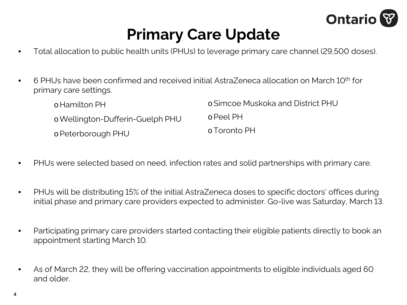

# **Primary Care Update**

- Total allocation to public health units (PHUs) to leverage primary care channel (29,500 doses).
- $\bullet$  6 PHUs have been confirmed and received initial AstraZeneca allocation on March 10<sup>th</sup> for primary care settings.

| o Hamilton PH                    | o Simcoe Muskoka and District PHU |
|----------------------------------|-----------------------------------|
| o Wellington-Dufferin-Guelph PHU | o Peel PH                         |
| o Peterborough PHU               | o Toronto PH                      |

- PHUs were selected based on need, infection rates and solid partnerships with primary care.
- PHUs will be distributing 15% of the initial AstraZeneca doses to specific doctors' offices during initial phase and primary care providers expected to administer. Go-live was Saturday, March 13.
- Participating primary care providers started contacting their eligible patients directly to book an appointment starting March 10.
- As of March 22, they will be offering vaccination appointments to eligible individuals aged 60 and older.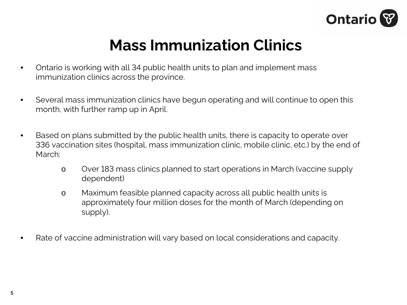

## **Mass Immunization Clinics**

- Ontario is working with all 34 public health units to plan and implement mass immunization clinics across the province.
- Several mass immunization clinics have begun operating and will continue to open this month, with further ramp up in April.
- Based on plans submitted by the public health units, there is capacity to operate over 336 vaccination sites (hospital, mass immunization clinic, mobile clinic, etc.) by the end of March:
	- o Over 183 mass clinics planned to start operations in March (vaccine supply dependent)
	- o Maximum feasible planned capacity across all public health units is approximately four million doses for the month of March (depending on supply).
- Rate of vaccine administration will vary based on local considerations and capacity.